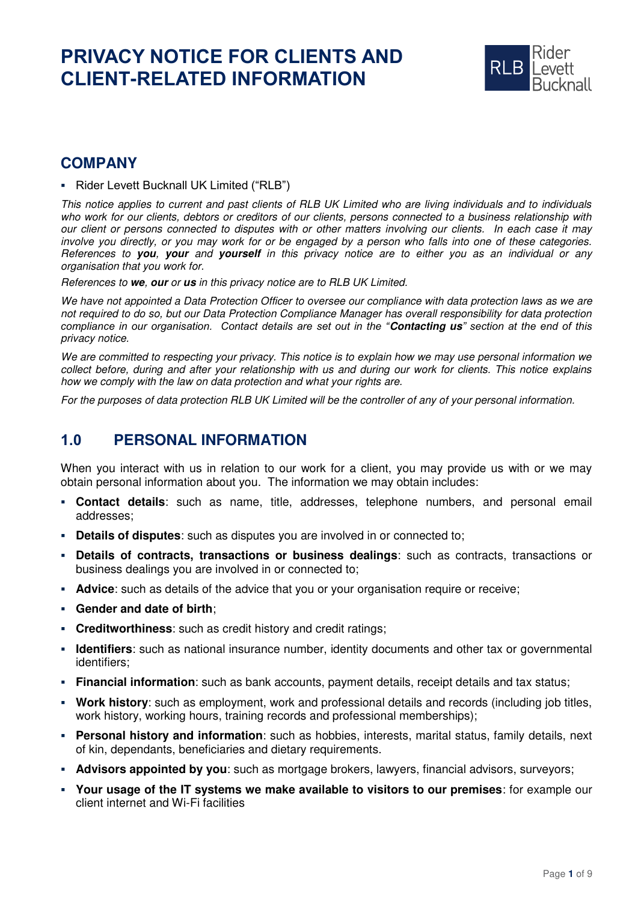# **PRIVACY NOTICE FOR CLIENTS AND CLIENT-RELATED INFORMATION**



# **COMPANY**

▪ Rider Levett Bucknall UK Limited ("RLB")

This notice applies to current and past clients of RLB UK Limited who are living individuals and to individuals who work for our clients, debtors or creditors of our clients, persons connected to a business relationship with our client or persons connected to disputes with or other matters involving our clients. In each case it may involve you directly, or you may work for or be engaged by a person who falls into one of these categories. References to **you**, **your** and **yourself** in this privacy notice are to either you as an individual or any organisation that you work for.

References to **we**, **our** or **us** in this privacy notice are to RLB UK Limited.

We have not appointed a Data Protection Officer to oversee our compliance with data protection laws as we are not required to do so, but our Data Protection Compliance Manager has overall responsibility for data protection *compliance in our organisation. Contact details are set out in the "***Contacting us***" section at the end of this*  privacy notice.

We are committed to respecting your privacy. This notice is to explain how we may use personal information we collect before, during and after your relationship with us and during our work for clients. This notice explains how we comply with the law on data protection and what your rights are.

For the purposes of data protection RLB UK Limited will be the controller of any of your personal information.

# **1.0 PERSONAL INFORMATION**

When you interact with us in relation to our work for a client, you may provide us with or we may obtain personal information about you. The information we may obtain includes:

- **Contact details**: such as name, title, addresses, telephone numbers, and personal email addresses;
- **Details of disputes**: such as disputes you are involved in or connected to;
- **Details of contracts, transactions or business dealings**: such as contracts, transactions or business dealings you are involved in or connected to;
- **Advice**: such as details of the advice that you or your organisation require or receive;
- **Gender and date of birth**;
- **Creditworthiness**: such as credit history and credit ratings;
- **Identifiers**: such as national insurance number, identity documents and other tax or governmental identifiers;
- **Financial information**: such as bank accounts, payment details, receipt details and tax status;
- **Work history**: such as employment, work and professional details and records (including job titles, work history, working hours, training records and professional memberships);
- **Personal history and information**: such as hobbies, interests, marital status, family details, next of kin, dependants, beneficiaries and dietary requirements.
- **EXED Advisors appointed by you**: such as mortgage brokers, lawyers, financial advisors, surveyors;
- **Your usage of the IT systems we make available to visitors to our premises**: for example our client internet and Wi-Fi facilities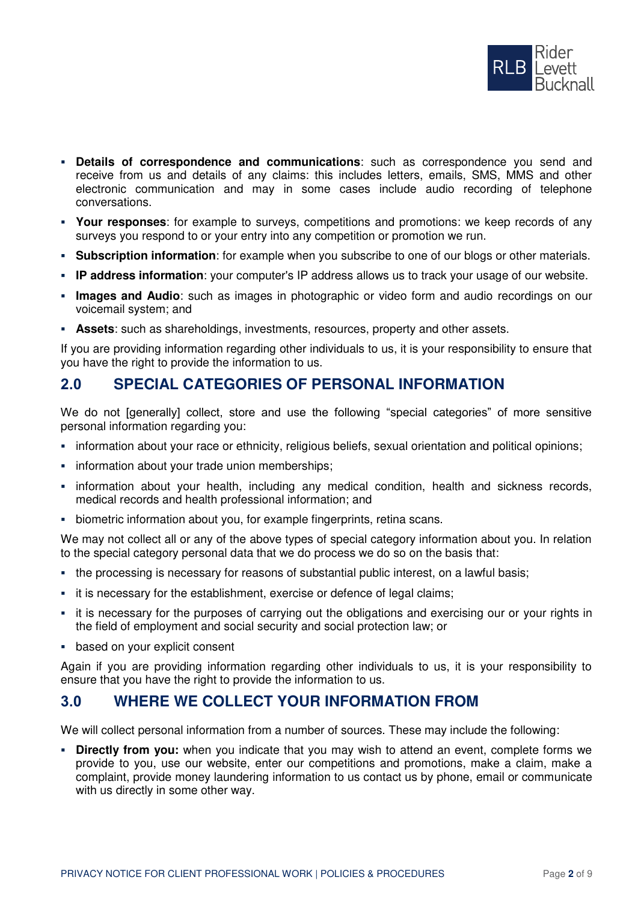

- **Details of correspondence and communications**: such as correspondence you send and receive from us and details of any claims: this includes letters, emails, SMS, MMS and other electronic communication and may in some cases include audio recording of telephone conversations.
- **Your responses**: for example to surveys, competitions and promotions: we keep records of any surveys you respond to or your entry into any competition or promotion we run.
- **Subscription information**: for example when you subscribe to one of our blogs or other materials.
- **IP address information**: your computer's IP address allows us to track your usage of our website.
- **.** Images and Audio: such as images in photographic or video form and audio recordings on our voicemail system; and
- **EXECTS:** such as shareholdings, investments, resources, property and other assets.

If you are providing information regarding other individuals to us, it is your responsibility to ensure that you have the right to provide the information to us.

# **2.0 SPECIAL CATEGORIES OF PERSONAL INFORMATION**

We do not [generally] collect, store and use the following "special categories" of more sensitive personal information regarding you:

- information about your race or ethnicity, religious beliefs, sexual orientation and political opinions;
- **•** information about your trade union memberships;
- **·** information about your health, including any medical condition, health and sickness records, medical records and health professional information; and
- biometric information about you, for example fingerprints, retina scans.

We may not collect all or any of the above types of special category information about you. In relation to the special category personal data that we do process we do so on the basis that:

- the processing is necessary for reasons of substantial public interest, on a lawful basis;
- **EXED** it is necessary for the establishment, exercise or defence of legal claims;
- it is necessary for the purposes of carrying out the obligations and exercising our or your rights in the field of employment and social security and social protection law; or
- based on your explicit consent

Again if you are providing information regarding other individuals to us, it is your responsibility to ensure that you have the right to provide the information to us.

# **3.0 WHERE WE COLLECT YOUR INFORMATION FROM**

We will collect personal information from a number of sources. These may include the following:

**• Directly from you:** when you indicate that you may wish to attend an event, complete forms we provide to you, use our website, enter our competitions and promotions, make a claim, make a complaint, provide money laundering information to us contact us by phone, email or communicate with us directly in some other way.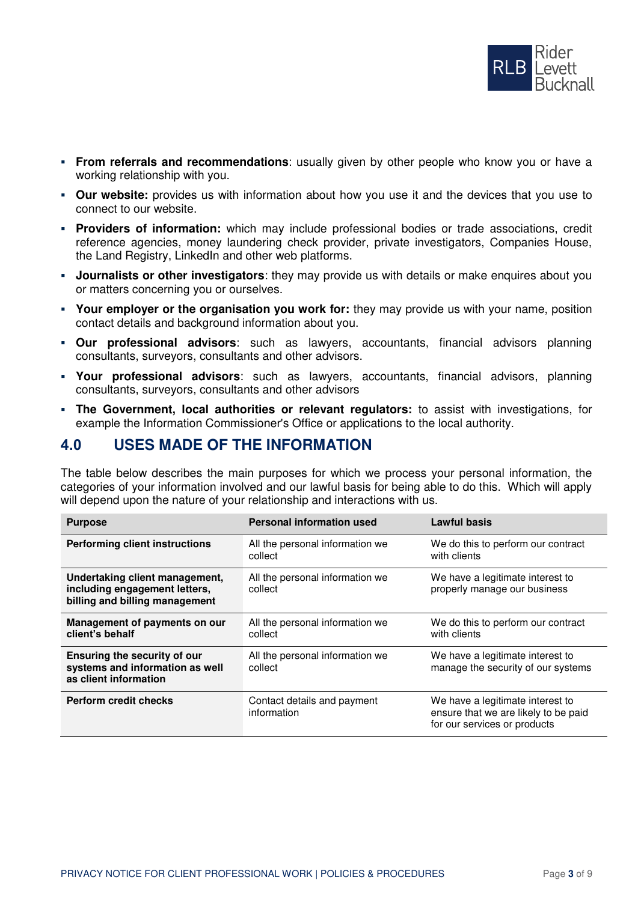

- **From referrals and recommendations**: usually given by other people who know you or have a working relationship with you.
- **Our website:** provides us with information about how you use it and the devices that you use to connect to our website.
- **Providers of information:** which may include professional bodies or trade associations, credit reference agencies, money laundering check provider, private investigators, Companies House, the Land Registry, LinkedIn and other web platforms.
- **Journalists or other investigators**: they may provide us with details or make enquires about you or matters concerning you or ourselves.
- **Your employer or the organisation you work for:** they may provide us with your name, position contact details and background information about you.
- **Our professional advisors**: such as lawyers, accountants, financial advisors planning consultants, surveyors, consultants and other advisors.
- **Your professional advisors**: such as lawyers, accountants, financial advisors, planning consultants, surveyors, consultants and other advisors
- **The Government, local authorities or relevant regulators:** to assist with investigations, for example the Information Commissioner's Office or applications to the local authority.

### **4.0 USES MADE OF THE INFORMATION**

The table below describes the main purposes for which we process your personal information, the categories of your information involved and our lawful basis for being able to do this. Which will apply will depend upon the nature of your relationship and interactions with us.

| <b>Purpose</b>                                                                                    | <b>Personal information used</b>           | <b>Lawful basis</b>                                                                                      |
|---------------------------------------------------------------------------------------------------|--------------------------------------------|----------------------------------------------------------------------------------------------------------|
| <b>Performing client instructions</b>                                                             | All the personal information we<br>collect | We do this to perform our contract<br>with clients                                                       |
| Undertaking client management,<br>including engagement letters,<br>billing and billing management | All the personal information we<br>collect | We have a legitimate interest to<br>properly manage our business                                         |
| Management of payments on our<br>client's behalf                                                  | All the personal information we<br>collect | We do this to perform our contract<br>with clients                                                       |
| Ensuring the security of our<br>systems and information as well<br>as client information          | All the personal information we<br>collect | We have a legitimate interest to<br>manage the security of our systems                                   |
| <b>Perform credit checks</b>                                                                      | Contact details and payment<br>information | We have a legitimate interest to<br>ensure that we are likely to be paid<br>for our services or products |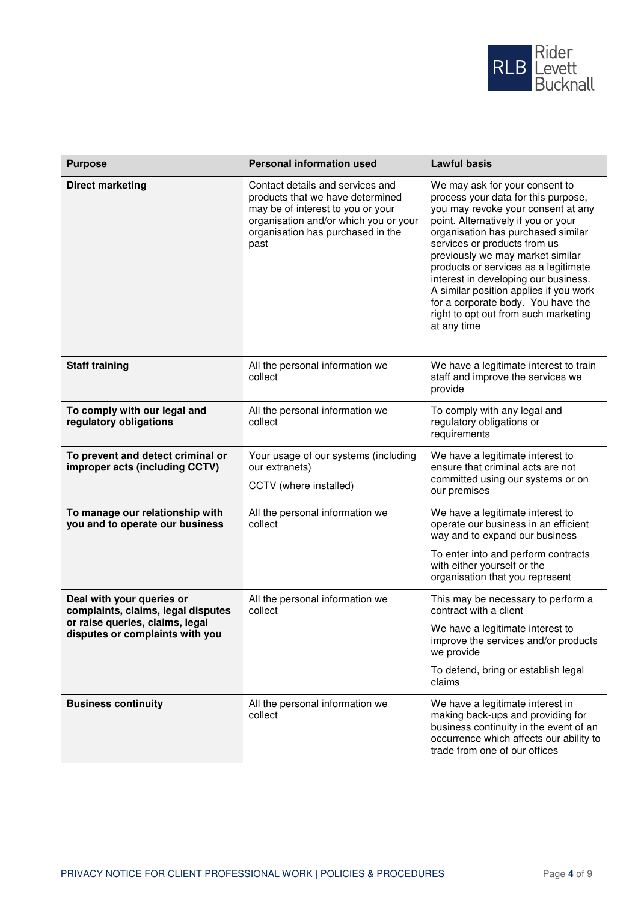

| <b>Purpose</b>                                                                                                                        | <b>Personal information used</b>                                                                                                                                                                | <b>Lawful basis</b>                                                                                                                                                                                                                                                                                                                                                                                                                                                                 |
|---------------------------------------------------------------------------------------------------------------------------------------|-------------------------------------------------------------------------------------------------------------------------------------------------------------------------------------------------|-------------------------------------------------------------------------------------------------------------------------------------------------------------------------------------------------------------------------------------------------------------------------------------------------------------------------------------------------------------------------------------------------------------------------------------------------------------------------------------|
| <b>Direct marketing</b>                                                                                                               | Contact details and services and<br>products that we have determined<br>may be of interest to you or your<br>organisation and/or which you or your<br>organisation has purchased in the<br>past | We may ask for your consent to<br>process your data for this purpose,<br>you may revoke your consent at any<br>point. Alternatively if you or your<br>organisation has purchased similar<br>services or products from us<br>previously we may market similar<br>products or services as a legitimate<br>interest in developing our business.<br>A similar position applies if you work<br>for a corporate body. You have the<br>right to opt out from such marketing<br>at any time |
| <b>Staff training</b>                                                                                                                 | All the personal information we<br>collect                                                                                                                                                      | We have a legitimate interest to train<br>staff and improve the services we<br>provide                                                                                                                                                                                                                                                                                                                                                                                              |
| To comply with our legal and<br>regulatory obligations                                                                                | All the personal information we<br>collect                                                                                                                                                      | To comply with any legal and<br>regulatory obligations or<br>requirements                                                                                                                                                                                                                                                                                                                                                                                                           |
| To prevent and detect criminal or<br>improper acts (including CCTV)                                                                   | Your usage of our systems (including<br>our extranets)<br>CCTV (where installed)                                                                                                                | We have a legitimate interest to<br>ensure that criminal acts are not<br>committed using our systems or on<br>our premises                                                                                                                                                                                                                                                                                                                                                          |
| To manage our relationship with<br>you and to operate our business                                                                    | All the personal information we<br>collect                                                                                                                                                      | We have a legitimate interest to<br>operate our business in an efficient<br>way and to expand our business<br>To enter into and perform contracts<br>with either yourself or the                                                                                                                                                                                                                                                                                                    |
|                                                                                                                                       |                                                                                                                                                                                                 | organisation that you represent                                                                                                                                                                                                                                                                                                                                                                                                                                                     |
| Deal with your queries or<br>complaints, claims, legal disputes<br>or raise queries, claims, legal<br>disputes or complaints with you | All the personal information we<br>collect                                                                                                                                                      | This may be necessary to perform a<br>contract with a client                                                                                                                                                                                                                                                                                                                                                                                                                        |
|                                                                                                                                       |                                                                                                                                                                                                 | We have a legitimate interest to<br>improve the services and/or products<br>we provide                                                                                                                                                                                                                                                                                                                                                                                              |
|                                                                                                                                       |                                                                                                                                                                                                 | To defend, bring or establish legal<br>claims                                                                                                                                                                                                                                                                                                                                                                                                                                       |
| <b>Business continuity</b>                                                                                                            | All the personal information we<br>collect                                                                                                                                                      | We have a legitimate interest in<br>making back-ups and providing for<br>business continuity in the event of an<br>occurrence which affects our ability to<br>trade from one of our offices                                                                                                                                                                                                                                                                                         |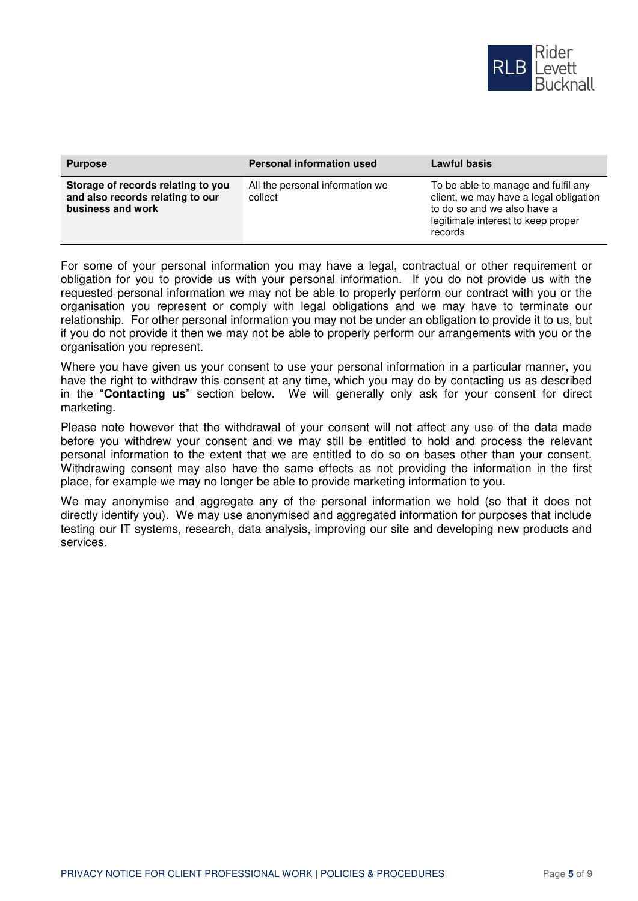

| <b>Purpose</b>                                                                              | <b>Personal information used</b>           | Lawful basis                                                                                                                                                  |
|---------------------------------------------------------------------------------------------|--------------------------------------------|---------------------------------------------------------------------------------------------------------------------------------------------------------------|
| Storage of records relating to you<br>and also records relating to our<br>business and work | All the personal information we<br>collect | To be able to manage and fulfil any<br>client, we may have a legal obligation<br>to do so and we also have a<br>legitimate interest to keep proper<br>records |

For some of your personal information you may have a legal, contractual or other requirement or obligation for you to provide us with your personal information. If you do not provide us with the requested personal information we may not be able to properly perform our contract with you or the organisation you represent or comply with legal obligations and we may have to terminate our relationship. For other personal information you may not be under an obligation to provide it to us, but if you do not provide it then we may not be able to properly perform our arrangements with you or the organisation you represent.

Where you have given us your consent to use your personal information in a particular manner, you have the right to withdraw this consent at any time, which you may do by contacting us as described in the "**Contacting us**" section below. We will generally only ask for your consent for direct marketing.

Please note however that the withdrawal of your consent will not affect any use of the data made before you withdrew your consent and we may still be entitled to hold and process the relevant personal information to the extent that we are entitled to do so on bases other than your consent. Withdrawing consent may also have the same effects as not providing the information in the first place, for example we may no longer be able to provide marketing information to you.

We may anonymise and aggregate any of the personal information we hold (so that it does not directly identify you). We may use anonymised and aggregated information for purposes that include testing our IT systems, research, data analysis, improving our site and developing new products and services.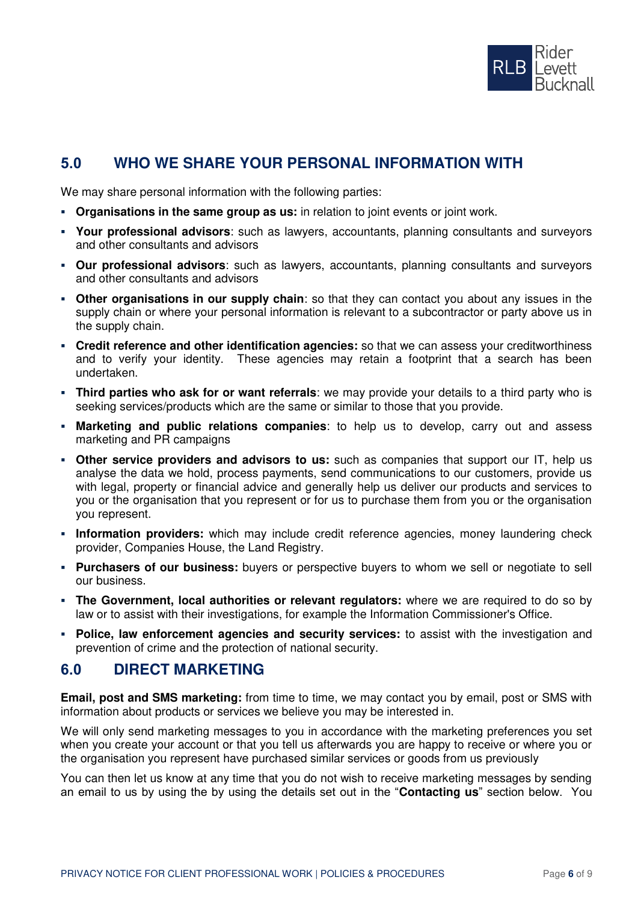

# **5.0 WHO WE SHARE YOUR PERSONAL INFORMATION WITH**

We may share personal information with the following parties:

- **Organisations in the same group as us:** in relation to joint events or joint work.
- **Your professional advisors**: such as lawyers, accountants, planning consultants and surveyors and other consultants and advisors
- **Our professional advisors**: such as lawyers, accountants, planning consultants and surveyors and other consultants and advisors
- **Other organisations in our supply chain**: so that they can contact you about any issues in the supply chain or where your personal information is relevant to a subcontractor or party above us in the supply chain.
- **Credit reference and other identification agencies:** so that we can assess your creditworthiness and to verify your identity. These agencies may retain a footprint that a search has been undertaken.
- **Third parties who ask for or want referrals**: we may provide your details to a third party who is seeking services/products which are the same or similar to those that you provide.
- **Marketing and public relations companies**: to help us to develop, carry out and assess marketing and PR campaigns
- **Other service providers and advisors to us:** such as companies that support our IT, help us analyse the data we hold, process payments, send communications to our customers, provide us with legal, property or financial advice and generally help us deliver our products and services to you or the organisation that you represent or for us to purchase them from you or the organisation you represent.
- **· Information providers:** which may include credit reference agencies, money laundering check provider, Companies House, the Land Registry.
- **Purchasers of our business:** buyers or perspective buyers to whom we sell or negotiate to sell our business.
- **· The Government, local authorities or relevant regulators:** where we are required to do so by law or to assist with their investigations, for example the Information Commissioner's Office.
- **Police, law enforcement agencies and security services:** to assist with the investigation and prevention of crime and the protection of national security.

#### **6.0 DIRECT MARKETING**

**Email, post and SMS marketing:** from time to time, we may contact you by email, post or SMS with information about products or services we believe you may be interested in.

We will only send marketing messages to you in accordance with the marketing preferences you set when you create your account or that you tell us afterwards you are happy to receive or where you or the organisation you represent have purchased similar services or goods from us previously

You can then let us know at any time that you do not wish to receive marketing messages by sending an email to us by using the by using the details set out in the "**Contacting us**" section below. You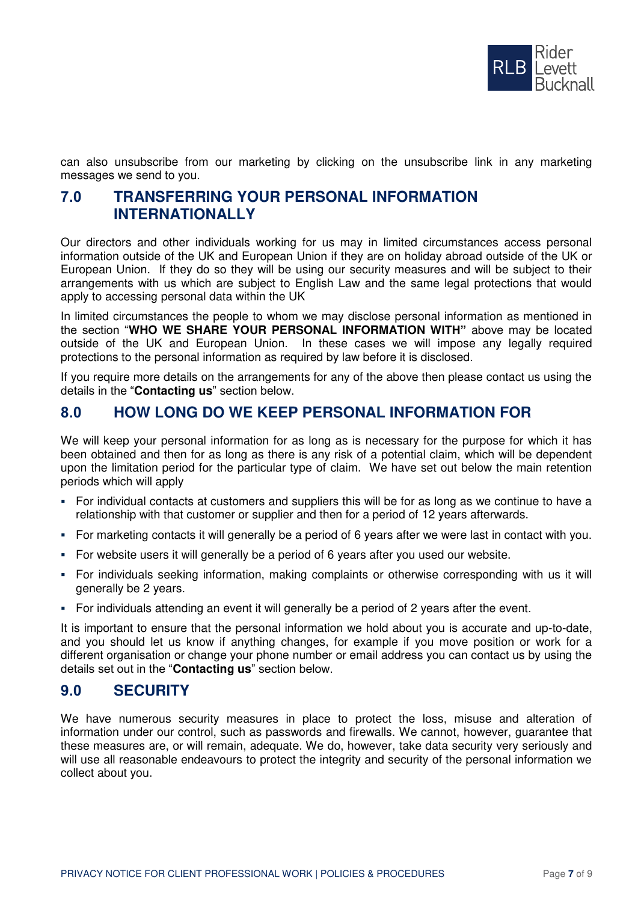

can also unsubscribe from our marketing by clicking on the unsubscribe link in any marketing messages we send to you.

# **7.0 TRANSFERRING YOUR PERSONAL INFORMATION INTERNATIONALLY**

Our directors and other individuals working for us may in limited circumstances access personal information outside of the UK and European Union if they are on holiday abroad outside of the UK or European Union. If they do so they will be using our security measures and will be subject to their arrangements with us which are subject to English Law and the same legal protections that would apply to accessing personal data within the UK

In limited circumstances the people to whom we may disclose personal information as mentioned in the section "**WHO WE SHARE YOUR PERSONAL INFORMATION WITH"** above may be located outside of the UK and European Union. In these cases we will impose any legally required protections to the personal information as required by law before it is disclosed.

If you require more details on the arrangements for any of the above then please contact us using the details in the "**Contacting us**" section below.

# **8.0 HOW LONG DO WE KEEP PERSONAL INFORMATION FOR**

We will keep your personal information for as long as is necessary for the purpose for which it has been obtained and then for as long as there is any risk of a potential claim, which will be dependent upon the limitation period for the particular type of claim. We have set out below the main retention periods which will apply

- For individual contacts at customers and suppliers this will be for as long as we continue to have a relationship with that customer or supplier and then for a period of 12 years afterwards.
- For marketing contacts it will generally be a period of 6 years after we were last in contact with you.
- For website users it will generally be a period of 6 years after you used our website.
- For individuals seeking information, making complaints or otherwise corresponding with us it will generally be 2 years.
- For individuals attending an event it will generally be a period of 2 years after the event.

It is important to ensure that the personal information we hold about you is accurate and up-to-date, and you should let us know if anything changes, for example if you move position or work for a different organisation or change your phone number or email address you can contact us by using the details set out in the "**Contacting us**" section below.

# **9.0 SECURITY**

We have numerous security measures in place to protect the loss, misuse and alteration of information under our control, such as passwords and firewalls. We cannot, however, guarantee that these measures are, or will remain, adequate. We do, however, take data security very seriously and will use all reasonable endeavours to protect the integrity and security of the personal information we collect about you.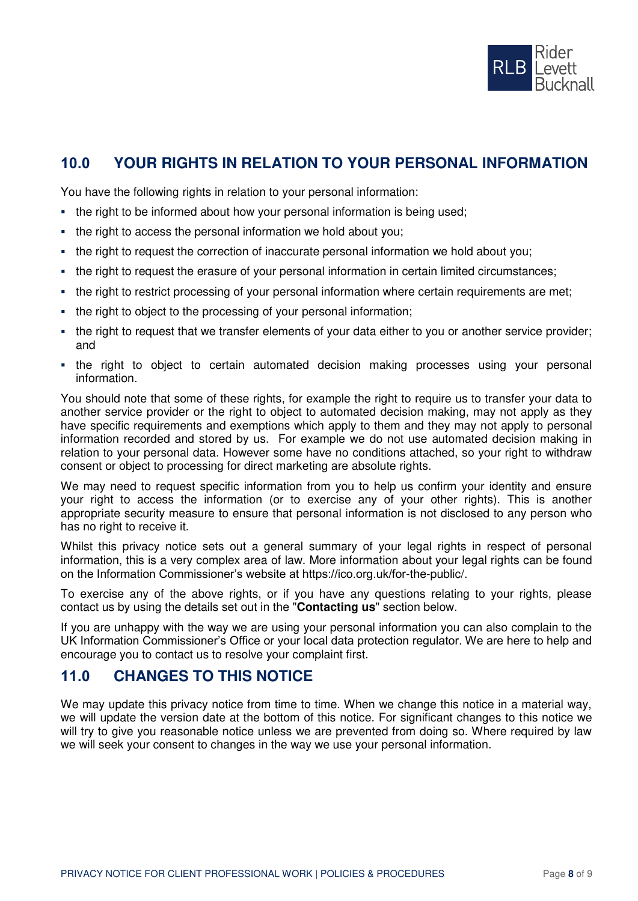

# **10.0 YOUR RIGHTS IN RELATION TO YOUR PERSONAL INFORMATION**

You have the following rights in relation to your personal information:

- the right to be informed about how your personal information is being used;
- the right to access the personal information we hold about you;
- the right to request the correction of inaccurate personal information we hold about you;
- the right to request the erasure of your personal information in certain limited circumstances;
- the right to restrict processing of your personal information where certain requirements are met;
- the right to object to the processing of your personal information;
- the right to request that we transfer elements of your data either to you or another service provider; and
- the right to object to certain automated decision making processes using your personal information.

You should note that some of these rights, for example the right to require us to transfer your data to another service provider or the right to object to automated decision making, may not apply as they have specific requirements and exemptions which apply to them and they may not apply to personal information recorded and stored by us. For example we do not use automated decision making in relation to your personal data. However some have no conditions attached, so your right to withdraw consent or object to processing for direct marketing are absolute rights.

We may need to request specific information from you to help us confirm your identity and ensure your right to access the information (or to exercise any of your other rights). This is another appropriate security measure to ensure that personal information is not disclosed to any person who has no right to receive it.

Whilst this privacy notice sets out a general summary of your legal rights in respect of personal information, this is a very complex area of law. More information about your legal rights can be found on the Information Commissioner's website at https://ico.org.uk/for-the-public/.

To exercise any of the above rights, or if you have any questions relating to your rights, please contact us by using the details set out in the "**Contacting us**" section below.

If you are unhappy with the way we are using your personal information you can also complain to the UK Information Commissioner's Office or your local data protection regulator. We are here to help and encourage you to contact us to resolve your complaint first.

# **11.0 CHANGES TO THIS NOTICE**

We may update this privacy notice from time to time. When we change this notice in a material way, we will update the version date at the bottom of this notice. For significant changes to this notice we will try to give you reasonable notice unless we are prevented from doing so. Where required by law we will seek your consent to changes in the way we use your personal information.